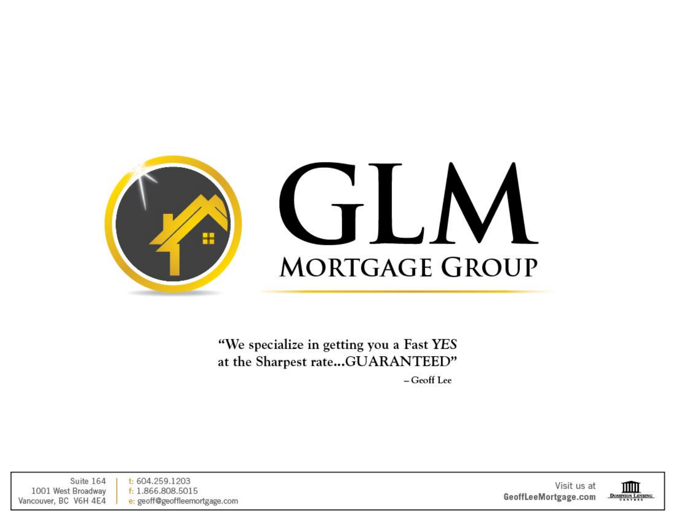

"We specialize in getting you a Fast YES at the Sharpest rate...GUARANTEED"

- Geoff Lee

Suite 164  $t: 604.259.1203$ 1001 West Broadway f: 1.866.808.5015 Vancouver, BC V6H 4E4 e: geoff@geoffleemortgage.com

Visit us at GeoffLeeMortgage.com

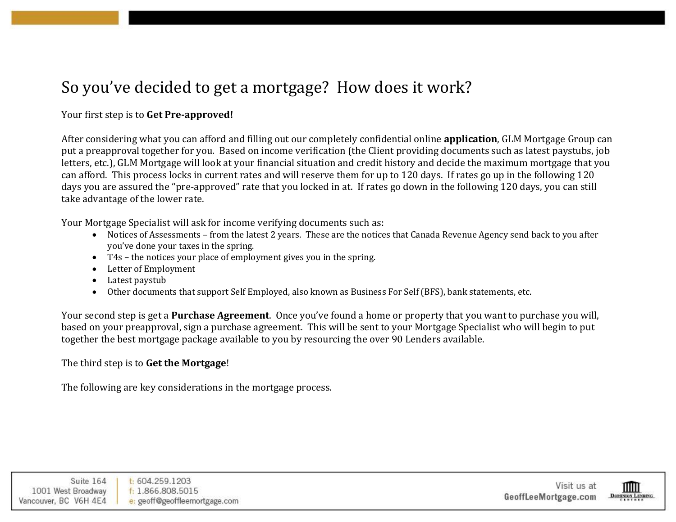# So you've decided to get a mortgage? How does it work?

# Your first step is to **Get Pre-approved!**

After considering what you can afford and filling out our completely confidential online **application**, GLM Mortgage Group can put a preapproval together for you. Based on income verification (the Client providing documents such as latest paystubs, job letters, etc.), GLM Mortgage will look at your financial situation and credit history and decide the maximum mortgage that you can afford. This process locks in current rates and will reserve them for up to 120 days. If rates go up in the following 120 days you are assured the "pre-approved" rate that you locked in at. If rates go down in the following 120 days, you can still take advantage of the lower rate.

Your Mortgage Specialist will ask for income verifying documents such as:

- Notices of Assessments from the latest 2 years. These are the notices that Canada Revenue Agency send back to you after you've done your taxes in the spring.
- T4s the notices your place of employment gives you in the spring.
- Letter of Employment
- Latest paystub
- Other documents that support Self Employed, also known as Business For Self (BFS), bank statements, etc.

Your second step is get a **Purchase Agreement**. Once you've found a home or property that you want to purchase you will, based on your preapproval, sign a purchase agreement. This will be sent to your Mortgage Specialist who will begin to put together the best mortgage package available to you by resourcing the over 90 Lenders available.

#### The third step is to **Get the Mortgage**!

The following are key considerations in the mortgage process.

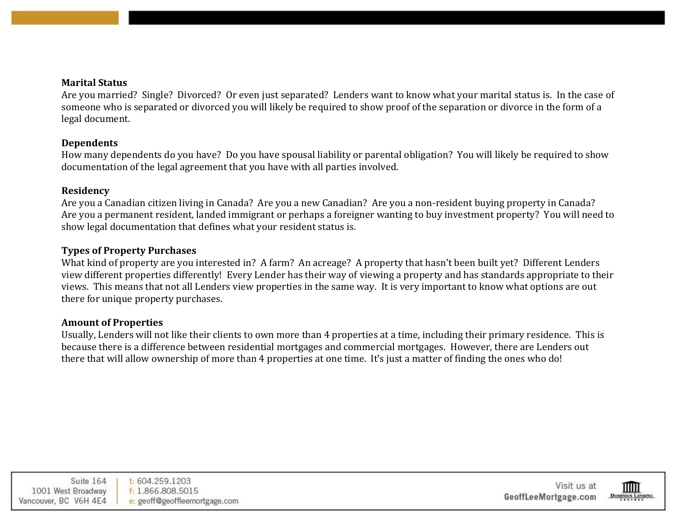#### **Marital Status**

Are you married? Single? Divorced? Or even just separated? Lenders want to know what your marital status is. In the case of someone who is separated or divorced you will likely be required to show proof of the separation or divorce in the form of a legal document.

#### **Dependents**

How many dependents do you have? Do you have spousal liability or parental obligation? You will likely be required to show documentation of the legal agreement that you have with all parties involved.

#### **Residency**

Are you a Canadian citizen living in Canada? Are you a new Canadian? Are you a non-resident buying property in Canada? Are you a permanent resident, landed immigrant or perhaps a foreigner wanting to buy investment property? You will need to show legal documentation that defines what your resident status is.

#### **Types of Property Purchases**

What kind of property are you interested in? A farm? An acreage? A property that hasn't been built yet? Different Lenders view different properties differently! Every Lender has their way of viewing a property and has standards appropriate to their views. This means that not all Lenders view properties in the same way. It is very important to know what options are out there for unique property purchases.

### **Amount of Properties**

Usually, Lenders will not like their clients to own more than 4 properties at a time, including their primary residence. This is because there is a difference between residential mortgages and commercial mortgages. However, there are Lenders out there that will allow ownership of more than 4 properties at one time. It's just a matter of finding the ones who do!



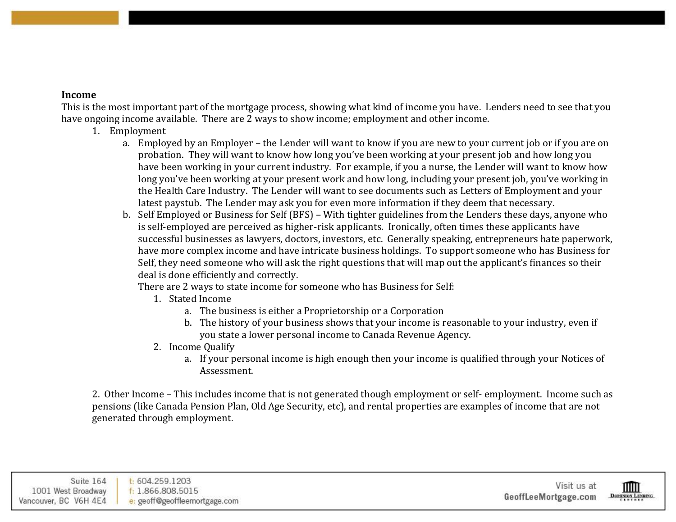### **Income**

This is the most important part of the mortgage process, showing what kind of income you have. Lenders need to see that you have ongoing income available. There are 2 ways to show income; employment and other income.

- 1. Employment
	- a. Employed by an Employer the Lender will want to know if you are new to your current job or if you are on probation. They will want to know how long you've been working at your present job and how long you have been working in your current industry. For example, if you a nurse, the Lender will want to know how long you've been working at your present work and how long, including your present job, you've working in the Health Care Industry. The Lender will want to see documents such as Letters of Employment and your latest paystub. The Lender may ask you for even more information if they deem that necessary.
	- b. Self Employed or Business for Self (BFS) With tighter guidelines from the Lenders these days, anyone who is self-employed are perceived as higher-risk applicants. Ironically, often times these applicants have successful businesses as lawyers, doctors, investors, etc. Generally speaking, entrepreneurs hate paperwork, have more complex income and have intricate business holdings. To support someone who has Business for Self, they need someone who will ask the right questions that will map out the applicant's finances so their deal is done efficiently and correctly.

There are 2 ways to state income for someone who has Business for Self:

- 1. Stated Income
	- a. The business is either a Proprietorship or a Corporation
	- b. The history of your business shows that your income is reasonable to your industry, even if you state a lower personal income to Canada Revenue Agency.
- 2. Income Qualify
	- a. If your personal income is high enough then your income is qualified through your Notices of Assessment.

2. Other Income – This includes income that is not generated though employment or self- employment. Income such as pensions (like Canada Pension Plan, Old Age Security, etc), and rental properties are examples of income that are not generated through employment.

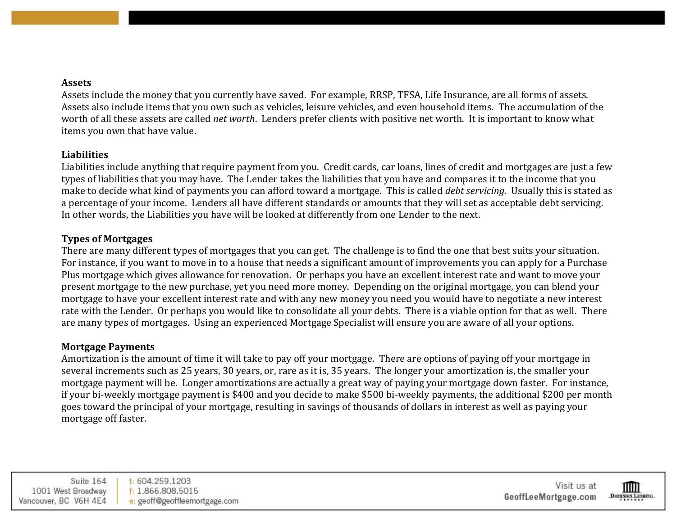#### **Assets**

Assets include the money that you currently have saved. For example, RRSP, TFSA, Life Insurance, are all forms of assets. Assets also include items that you own such as vehicles, leisure vehicles, and even household items. The accumulation of the worth of all these assets are called *net worth*. Lenders prefer clients with positive net worth. It is important to know what items you own that have value.

### **Liabilities**

Liabilities include anything that require payment from you. Credit cards, car loans, lines of credit and mortgages are just a few types of liabilities that you may have. The Lender takes the liabilities that you have and compares it to the income that you make to decide what kind of payments you can afford toward a mortgage. This is called *debt servicing*. Usually this is stated as a percentage of your income. Lenders all have different standards or amounts that they will set as acceptable debt servicing. In other words, the Liabilities you have will be looked at differently from one Lender to the next.

# **Types of Mortgages**

There are many different types of mortgages that you can get. The challenge is to find the one that best suits your situation. For instance, if you want to move in to a house that needs a significant amount of improvements you can apply for a Purchase Plus mortgage which gives allowance for renovation. Or perhaps you have an excellent interest rate and want to move your present mortgage to the new purchase, yet you need more money. Depending on the original mortgage, you can blend your mortgage to have your excellent interest rate and with any new money you need you would have to negotiate a new interest rate with the Lender. Or perhaps you would like to consolidate all your debts. There is a viable option for that as well. There are many types of mortgages. Using an experienced Mortgage Specialist will ensure you are aware of all your options.

# **Mortgage Payments**

Amortization is the amount of time it will take to pay off your mortgage. There are options of paying off your mortgage in several increments such as 25 years, 30 years, or, rare as it is, 35 years. The longer your amortization is, the smaller your mortgage payment will be. Longer amortizations are actually a great way of paying your mortgage down faster. For instance, if your bi-weekly mortgage payment is \$400 and you decide to make \$500 bi-weekly payments, the additional \$200 per month goes toward the principal of your mortgage, resulting in savings of thousands of dollars in interest as well as paying your mortgage off faster.

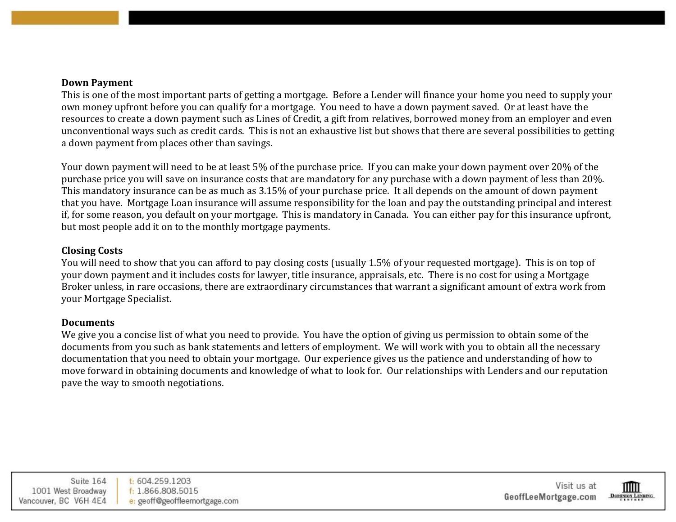#### **Down Payment**

This is one of the most important parts of getting a mortgage. Before a Lender will finance your home you need to supply your own money upfront before you can qualify for a mortgage. You need to have a down payment saved. Or at least have the resources to create a down payment such as Lines of Credit, a gift from relatives, borrowed money from an employer and even unconventional ways such as credit cards. This is not an exhaustive list but shows that there are several possibilities to getting a down payment from places other than savings.

Your down payment will need to be at least 5% of the purchase price. If you can make your down payment over 20% of the purchase price you will save on insurance costs that are mandatory for any purchase with a down payment of less than 20%. This mandatory insurance can be as much as 3.15% of your purchase price. It all depends on the amount of down payment that you have. Mortgage Loan insurance will assume responsibility for the loan and pay the outstanding principal and interest if, for some reason, you default on your mortgage. This is mandatory in Canada. You can either pay for this insurance upfront, but most people add it on to the monthly mortgage payments.

#### **Closing Costs**

You will need to show that you can afford to pay closing costs (usually 1.5% of your requested mortgage). This is on top of your down payment and it includes costs for lawyer, title insurance, appraisals, etc. There is no cost for using a Mortgage Broker unless, in rare occasions, there are extraordinary circumstances that warrant a significant amount of extra work from your Mortgage Specialist.

### **Documents**

We give you a concise list of what you need to provide. You have the option of giving us permission to obtain some of the documents from you such as bank statements and letters of employment. We will work with you to obtain all the necessary documentation that you need to obtain your mortgage. Our experience gives us the patience and understanding of how to move forward in obtaining documents and knowledge of what to look for. Our relationships with Lenders and our reputation pave the way to smooth negotiations.